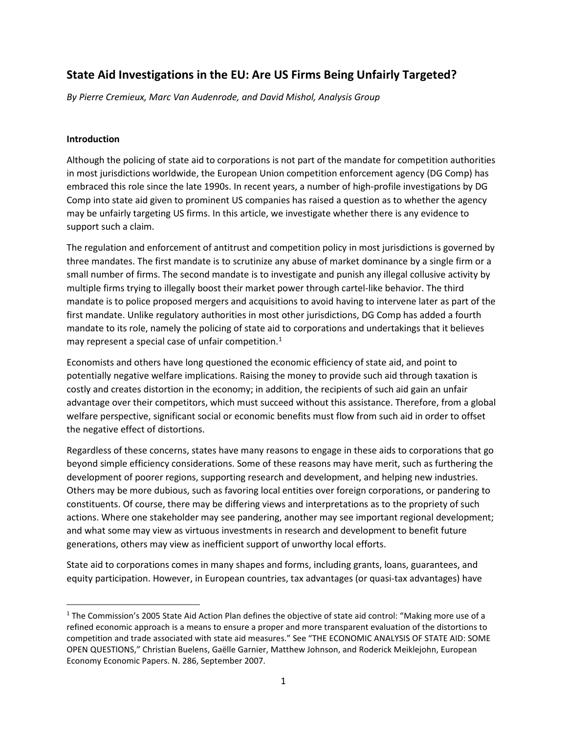## **State Aid Investigations in the EU: Are US Firms Being Unfairly Targeted?**

*By Pierre Cremieux, Marc Van Audenrode, and David Mishol, Analysis Group*

## **Introduction**

Although the policing of state aid to corporations is not part of the mandate for competition authorities in most jurisdictions worldwide, the European Union competition enforcement agency (DG Comp) has embraced this role since the late 1990s. In recent years, a number of high-profile investigations by DG Comp into state aid given to prominent US companies has raised a question as to whether the agency may be unfairly targeting US firms. In this article, we investigate whether there is any evidence to support such a claim.

The regulation and enforcement of antitrust and competition policy in most jurisdictions is governed by three mandates. The first mandate is to scrutinize any abuse of market dominance by a single firm or a small number of firms. The second mandate is to investigate and punish any illegal collusive activity by multiple firms trying to illegally boost their market power through cartel-like behavior. The third mandate is to police proposed mergers and acquisitions to avoid having to intervene later as part of the first mandate. Unlike regulatory authorities in most other jurisdictions, DG Comp has added a fourth mandate to its role, namely the policing of state aid to corporations and undertakings that it believes may represent a special case of unfair competition. [1](#page-0-0)

Economists and others have long questioned the economic efficiency of state aid, and point to potentially negative welfare implications. Raising the money to provide such aid through taxation is costly and creates distortion in the economy; in addition, the recipients of such aid gain an unfair advantage over their competitors, which must succeed without this assistance. Therefore, from a global welfare perspective, significant social or economic benefits must flow from such aid in order to offset the negative effect of distortions.

Regardless of these concerns, states have many reasons to engage in these aids to corporations that go beyond simple efficiency considerations. Some of these reasons may have merit, such as furthering the development of poorer regions, supporting research and development, and helping new industries. Others may be more dubious, such as favoring local entities over foreign corporations, or pandering to constituents. Of course, there may be differing views and interpretations as to the propriety of such actions. Where one stakeholder may see pandering, another may see important regional development; and what some may view as virtuous investments in research and development to benefit future generations, others may view as inefficient support of unworthy local efforts.

State aid to corporations comes in many shapes and forms, including grants, loans, guarantees, and equity participation. However, in European countries, tax advantages (or quasi-tax advantages) have

<span id="page-0-0"></span><sup>&</sup>lt;sup>1</sup> The Commission's 2005 State Aid Action Plan defines the objective of state aid control: "Making more use of a refined economic approach is a means to ensure a proper and more transparent evaluation of the distortions to competition and trade associated with state aid measures." See "THE ECONOMIC ANALYSIS OF STATE AID: SOME OPEN QUESTIONS," Christian Buelens, Gaëlle Garnier, Matthew Johnson, and Roderick Meiklejohn, European Economy Economic Papers. N. 286, September 2007.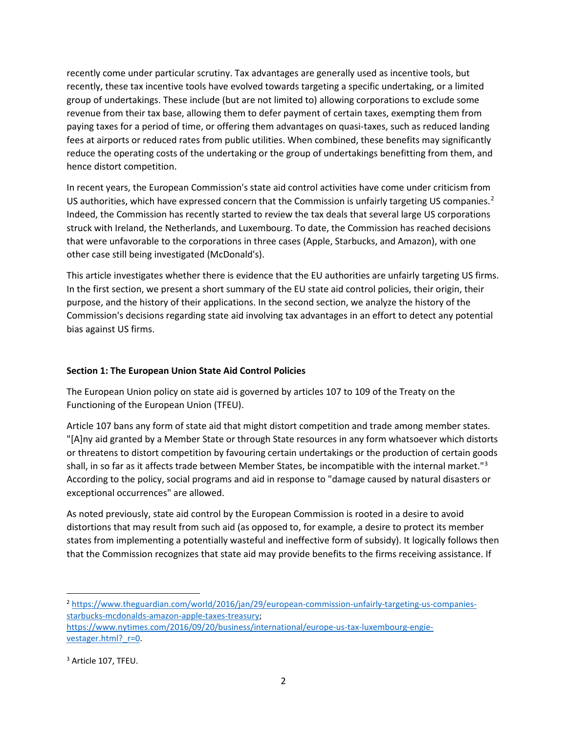recently come under particular scrutiny. Tax advantages are generally used as incentive tools, but recently, these tax incentive tools have evolved towards targeting a specific undertaking, or a limited group of undertakings. These include (but are not limited to) allowing corporations to exclude some revenue from their tax base, allowing them to defer payment of certain taxes, exempting them from paying taxes for a period of time, or offering them advantages on quasi-taxes, such as reduced landing fees at airports or reduced rates from public utilities. When combined, these benefits may significantly reduce the operating costs of the undertaking or the group of undertakings benefitting from them, and hence distort competition.

In recent years, the European Commission's state aid control activities have come under criticism from US authorities, which have expressed concern that the Commission is unfairly targeting US companies.<sup>[2](#page-1-0)</sup> Indeed, the Commission has recently started to review the tax deals that several large US corporations struck with Ireland, the Netherlands, and Luxembourg. To date, the Commission has reached decisions that were unfavorable to the corporations in three cases (Apple, Starbucks, and Amazon), with one other case still being investigated (McDonald's).

This article investigates whether there is evidence that the EU authorities are unfairly targeting US firms. In the first section, we present a short summary of the EU state aid control policies, their origin, their purpose, and the history of their applications. In the second section, we analyze the history of the Commission's decisions regarding state aid involving tax advantages in an effort to detect any potential bias against US firms.

## **Section 1: The European Union State Aid Control Policies**

The European Union policy on state aid is governed by articles 107 to 109 of the Treaty on the Functioning of the European Union (TFEU).

Article 107 bans any form of state aid that might distort competition and trade among member states. "[A]ny aid granted by a Member State or through State resources in any form whatsoever which distorts or threatens to distort competition by favouring certain undertakings or the production of certain goods shall, in so far as it affects trade between Member States, be incompatible with the internal market."[3](#page-1-1) According to the policy, social programs and aid in response to "damage caused by natural disasters or exceptional occurrences" are allowed.

As noted previously, state aid control by the European Commission is rooted in a desire to avoid distortions that may result from such aid (as opposed to, for example, a desire to protect its member states from implementing a potentially wasteful and ineffective form of subsidy). It logically follows then that the Commission recognizes that state aid may provide benefits to the firms receiving assistance. If

<span id="page-1-0"></span><sup>&</sup>lt;sup>2</sup> [https://www.theguardian.com/world/2016/jan/29/european-commission-unfairly-targeting-us-companies](https://www.theguardian.com/world/2016/jan/29/european-commission-unfairly-targeting-us-companies-starbucks-mcdonalds-amazon-apple-taxes-treasury)[starbucks-mcdonalds-amazon-apple-taxes-treasury;](https://www.theguardian.com/world/2016/jan/29/european-commission-unfairly-targeting-us-companies-starbucks-mcdonalds-amazon-apple-taxes-treasury) [https://www.nytimes.com/2016/09/20/business/international/europe-us-tax-luxembourg-engie-](https://www.nytimes.com/2016/09/20/business/international/europe-us-tax-luxembourg-engie-vestager.html?_r=0)

vestager.html? r=0.

<span id="page-1-1"></span><sup>&</sup>lt;sup>3</sup> Article 107, TFEU.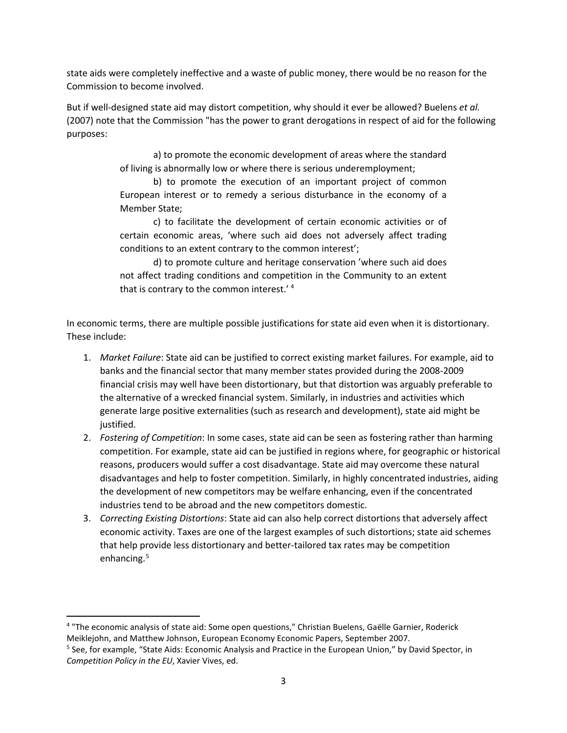state aids were completely ineffective and a waste of public money, there would be no reason for the Commission to become involved.

But if well-designed state aid may distort competition, why should it ever be allowed? Buelens *et al.* (2007) note that the Commission "has the power to grant derogations in respect of aid for the following purposes:

> a) to promote the economic development of areas where the standard of living is abnormally low or where there is serious underemployment;

> b) to promote the execution of an important project of common European interest or to remedy a serious disturbance in the economy of a Member State;

> c) to facilitate the development of certain economic activities or of certain economic areas, 'where such aid does not adversely affect trading conditions to an extent contrary to the common interest';

> d) to promote culture and heritage conservation 'where such aid does not affect trading conditions and competition in the Community to an extent that is contrary to the common interest.' [4](#page-2-0)

In economic terms, there are multiple possible justifications for state aid even when it is distortionary. These include:

- 1. *Market Failure*: State aid can be justified to correct existing market failures. For example, aid to banks and the financial sector that many member states provided during the 2008-2009 financial crisis may well have been distortionary, but that distortion was arguably preferable to the alternative of a wrecked financial system. Similarly, in industries and activities which generate large positive externalities (such as research and development), state aid might be justified.
- 2. *Fostering of Competition*: In some cases, state aid can be seen as fostering rather than harming competition. For example, state aid can be justified in regions where, for geographic or historical reasons, producers would suffer a cost disadvantage. State aid may overcome these natural disadvantages and help to foster competition. Similarly, in highly concentrated industries, aiding the development of new competitors may be welfare enhancing, even if the concentrated industries tend to be abroad and the new competitors domestic.
- 3. *Correcting Existing Distortions*: State aid can also help correct distortions that adversely affect economic activity. Taxes are one of the largest examples of such distortions; state aid schemes that help provide less distortionary and better-tailored tax rates may be competition enhancing.<sup>[5](#page-2-1)</sup>

<span id="page-2-0"></span> <sup>4</sup> "The economic analysis of state aid: Some open questions," Christian Buelens, Gaëlle Garnier, Roderick Meiklejohn, and Matthew Johnson, European Economy Economic Papers, September 2007.

<span id="page-2-1"></span><sup>5</sup> See, for example, "State Aids: Economic Analysis and Practice in the European Union," by David Spector, in *Competition Policy in the EU*, Xavier Vives, ed.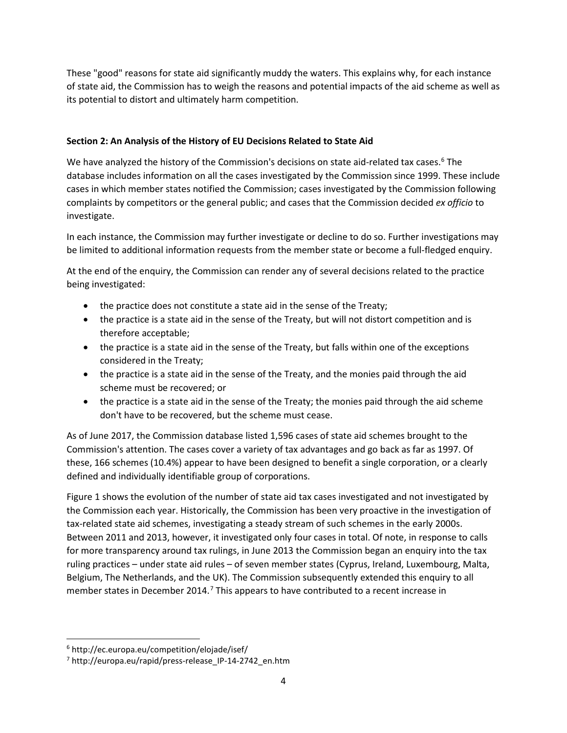These "good" reasons for state aid significantly muddy the waters. This explains why, for each instance of state aid, the Commission has to weigh the reasons and potential impacts of the aid scheme as well as its potential to distort and ultimately harm competition.

## **Section 2: An Analysis of the History of EU Decisions Related to State Aid**

We have analyzed the history of the Commission's decisions on state aid-related tax cases.<sup>[6](#page-3-0)</sup> The database includes information on all the cases investigated by the Commission since 1999. These include cases in which member states notified the Commission; cases investigated by the Commission following complaints by competitors or the general public; and cases that the Commission decided *ex officio* to investigate.

In each instance, the Commission may further investigate or decline to do so. Further investigations may be limited to additional information requests from the member state or become a full-fledged enquiry.

At the end of the enquiry, the Commission can render any of several decisions related to the practice being investigated:

- the practice does not constitute a state aid in the sense of the Treaty;
- the practice is a state aid in the sense of the Treaty, but will not distort competition and is therefore acceptable;
- the practice is a state aid in the sense of the Treaty, but falls within one of the exceptions considered in the Treaty;
- the practice is a state aid in the sense of the Treaty, and the monies paid through the aid scheme must be recovered; or
- the practice is a state aid in the sense of the Treaty; the monies paid through the aid scheme don't have to be recovered, but the scheme must cease.

As of June 2017, the Commission database listed 1,596 cases of state aid schemes brought to the Commission's attention. The cases cover a variety of tax advantages and go back as far as 1997. Of these, 166 schemes (10.4%) appear to have been designed to benefit a single corporation, or a clearly defined and individually identifiable group of corporations.

Figure 1 shows the evolution of the number of state aid tax cases investigated and not investigated by the Commission each year. Historically, the Commission has been very proactive in the investigation of tax-related state aid schemes, investigating a steady stream of such schemes in the early 2000s. Between 2011 and 2013, however, it investigated only four cases in total. Of note, in response to calls for more transparency around tax rulings, in June 2013 the Commission began an enquiry into the tax ruling practices – under state aid rules – of seven member states (Cyprus, Ireland, Luxembourg, Malta, Belgium, The Netherlands, and the UK). The Commission subsequently extended this enquiry to all member states in December 2014.<sup>[7](#page-3-1)</sup> This appears to have contributed to a recent increase in

<span id="page-3-0"></span> <sup>6</sup> http://ec.europa.eu/competition/elojade/isef/

<span id="page-3-1"></span><sup>&</sup>lt;sup>7</sup> http://europa.eu/rapid/press-release IP-14-2742 en.htm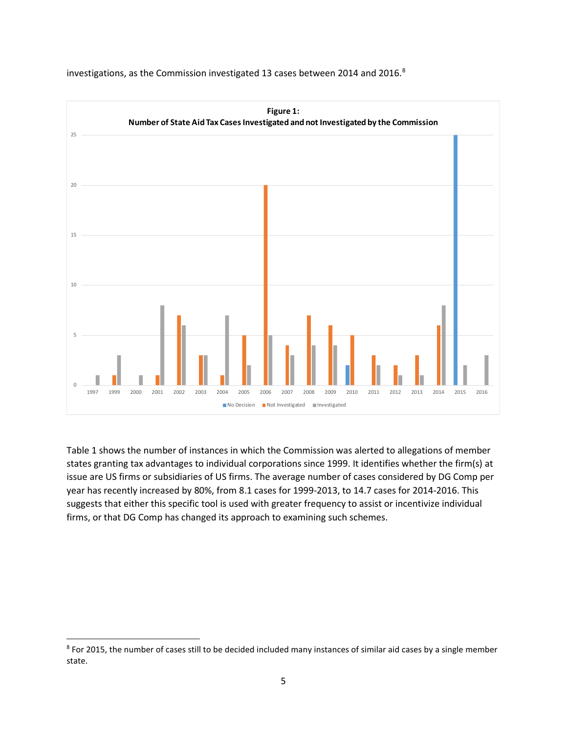

investigations, as the Commission investigated 13 cases between 2014 and 2016.<sup>[8](#page-4-0)</sup>

Table 1 shows the number of instances in which the Commission was alerted to allegations of member states granting tax advantages to individual corporations since 1999. It identifies whether the firm(s) at issue are US firms or subsidiaries of US firms. The average number of cases considered by DG Comp per year has recently increased by 80%, from 8.1 cases for 1999-2013, to 14.7 cases for 2014-2016. This suggests that either this specific tool is used with greater frequency to assist or incentivize individual firms, or that DG Comp has changed its approach to examining such schemes.

<span id="page-4-0"></span> $8$  For 2015, the number of cases still to be decided included many instances of similar aid cases by a single member state.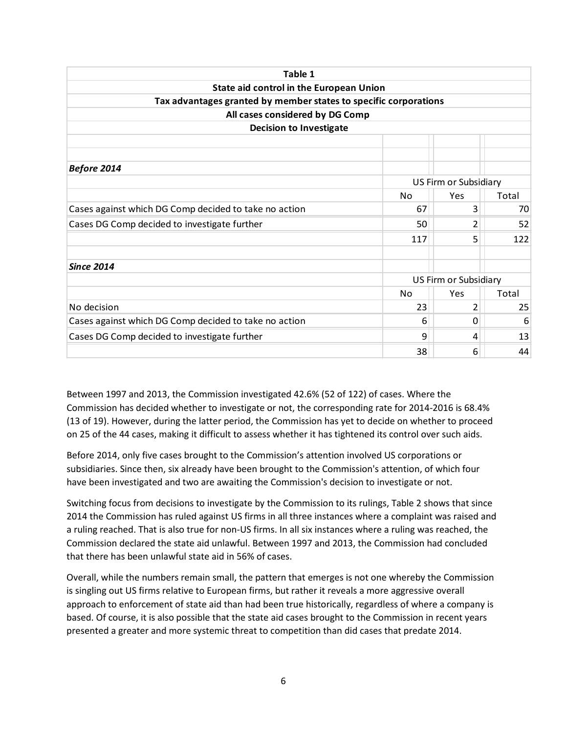| Table 1                                                          |           |                       |       |  |
|------------------------------------------------------------------|-----------|-----------------------|-------|--|
| State aid control in the European Union                          |           |                       |       |  |
| Tax advantages granted by member states to specific corporations |           |                       |       |  |
| All cases considered by DG Comp                                  |           |                       |       |  |
| <b>Decision to Investigate</b>                                   |           |                       |       |  |
|                                                                  |           |                       |       |  |
|                                                                  |           |                       |       |  |
| <b>Before 2014</b>                                               |           |                       |       |  |
|                                                                  |           | US Firm or Subsidiary |       |  |
|                                                                  | No        | Yes                   | Total |  |
| Cases against which DG Comp decided to take no action            | 67        | 3                     | 70    |  |
| Cases DG Comp decided to investigate further                     | 50        | 2                     | 52    |  |
|                                                                  | 117       | 5                     | 122   |  |
| <b>Since 2014</b>                                                |           |                       |       |  |
|                                                                  |           | US Firm or Subsidiary |       |  |
|                                                                  | <b>No</b> | Yes                   | Total |  |
| No decision                                                      | 23        | 2                     | 25    |  |
| Cases against which DG Comp decided to take no action            | 6         | 0                     | 6     |  |
| Cases DG Comp decided to investigate further                     | 9         | 4                     | 13    |  |
|                                                                  | 38        | 6                     | 44    |  |

Between 1997 and 2013, the Commission investigated 42.6% (52 of 122) of cases. Where the Commission has decided whether to investigate or not, the corresponding rate for 2014-2016 is 68.4% (13 of 19). However, during the latter period, the Commission has yet to decide on whether to proceed on 25 of the 44 cases, making it difficult to assess whether it has tightened its control over such aids.

Before 2014, only five cases brought to the Commission's attention involved US corporations or subsidiaries. Since then, six already have been brought to the Commission's attention, of which four have been investigated and two are awaiting the Commission's decision to investigate or not.

Switching focus from decisions to investigate by the Commission to its rulings, Table 2 shows that since 2014 the Commission has ruled against US firms in all three instances where a complaint was raised and a ruling reached. That is also true for non-US firms. In all six instances where a ruling was reached, the Commission declared the state aid unlawful. Between 1997 and 2013, the Commission had concluded that there has been unlawful state aid in 56% of cases.

Overall, while the numbers remain small, the pattern that emerges is not one whereby the Commission is singling out US firms relative to European firms, but rather it reveals a more aggressive overall approach to enforcement of state aid than had been true historically, regardless of where a company is based. Of course, it is also possible that the state aid cases brought to the Commission in recent years presented a greater and more systemic threat to competition than did cases that predate 2014.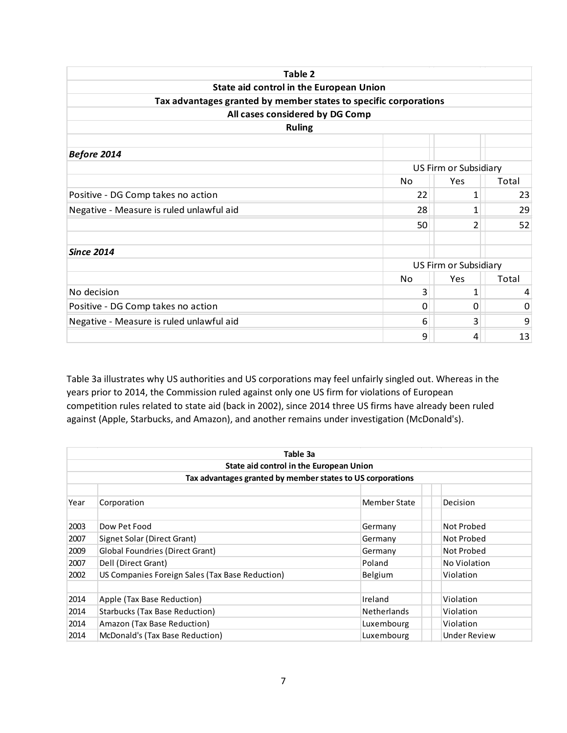| Table 2                                                          |    |                       |       |  |
|------------------------------------------------------------------|----|-----------------------|-------|--|
| State aid control in the European Union                          |    |                       |       |  |
| Tax advantages granted by member states to specific corporations |    |                       |       |  |
| All cases considered by DG Comp                                  |    |                       |       |  |
| <b>Ruling</b>                                                    |    |                       |       |  |
|                                                                  |    |                       |       |  |
| <b>Before 2014</b>                                               |    |                       |       |  |
|                                                                  |    | US Firm or Subsidiary |       |  |
|                                                                  | No | Yes                   | Total |  |
| Positive - DG Comp takes no action                               | 22 | 1                     | 23    |  |
| Negative - Measure is ruled unlawful aid                         | 28 | $\mathbf{1}$          | 29    |  |
|                                                                  | 50 | $\overline{2}$        | 52    |  |
| <b>Since 2014</b>                                                |    |                       |       |  |
|                                                                  |    | US Firm or Subsidiary |       |  |
|                                                                  | No | Yes                   | Total |  |
| No decision                                                      | 3  | 1                     | 4     |  |
| Positive - DG Comp takes no action                               | 0  | 0                     | 0     |  |
| Negative - Measure is ruled unlawful aid                         | 6  | 3                     | 9     |  |
|                                                                  | 9  | 4                     | 13    |  |

Table 3a illustrates why US authorities and US corporations may feel unfairly singled out. Whereas in the years prior to 2014, the Commission ruled against only one US firm for violations of European competition rules related to state aid (back in 2002), since 2014 three US firms have already been ruled against (Apple, Starbucks, and Amazon), and another remains under investigation (McDonald's).

|      | Table 3a                                                   |                    |                     |  |  |  |  |
|------|------------------------------------------------------------|--------------------|---------------------|--|--|--|--|
|      | State aid control in the European Union                    |                    |                     |  |  |  |  |
|      | Tax advantages granted by member states to US corporations |                    |                     |  |  |  |  |
| Year |                                                            | Member State       | Decision            |  |  |  |  |
|      | Corporation                                                |                    |                     |  |  |  |  |
| 2003 | Dow Pet Food                                               | Germany            | Not Probed          |  |  |  |  |
| 2007 | Signet Solar (Direct Grant)                                | Germany            | Not Probed          |  |  |  |  |
| 2009 | Global Foundries (Direct Grant)                            | Germany            | Not Probed          |  |  |  |  |
| 2007 | Dell (Direct Grant)                                        | Poland             | No Violation        |  |  |  |  |
| 2002 | US Companies Foreign Sales (Tax Base Reduction)            | Belgium            | Violation           |  |  |  |  |
|      |                                                            |                    |                     |  |  |  |  |
| 2014 | Apple (Tax Base Reduction)                                 | Ireland            | Violation           |  |  |  |  |
| 2014 | Starbucks (Tax Base Reduction)                             | <b>Netherlands</b> | Violation           |  |  |  |  |
| 2014 | Amazon (Tax Base Reduction)                                | Luxembourg         | Violation           |  |  |  |  |
| 2014 | McDonald's (Tax Base Reduction)                            | Luxembourg         | <b>Under Review</b> |  |  |  |  |